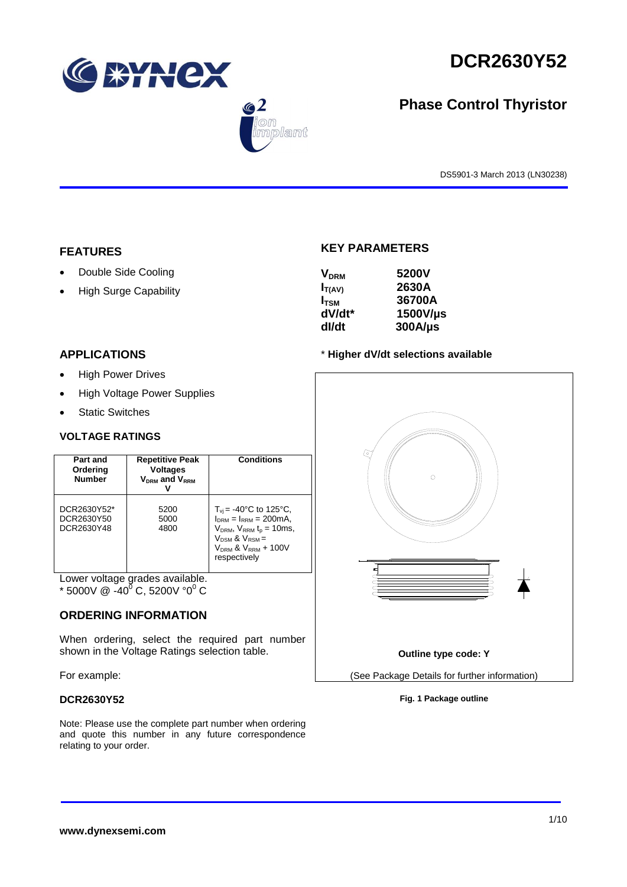





# **Phase Control Thyristor**

DS5901-3 March 2013 (LN30238)

## **FEATURES**

- Double Side Cooling
- High Surge Capability

## **APPLICATIONS**

- High Power Drives
- High Voltage Power Supplies
- Static Switches

### **VOLTAGE RATINGS**

| Part and<br>Ordering<br><b>Number</b>   | <b>Repetitive Peak</b><br><b>Voltages</b><br>$V_{DRM}$ and $V_{RRM}$ | Conditions                                                                                                                                                                                  |
|-----------------------------------------|----------------------------------------------------------------------|---------------------------------------------------------------------------------------------------------------------------------------------------------------------------------------------|
| DCR2630Y52*<br>DCR2630Y50<br>DCR2630Y48 | 5200<br>5000<br>4800                                                 | $T_{\rm vi}$ = -40°C to 125°C,<br>$I_{DRM} = I_{RRM} = 200 \text{mA}$ ,<br>$V_{DRM}$ , $V_{RRM}$ $t_{p}$ = 10ms,<br>$V_{DSM}$ & $V_{RSM}$ =<br>$V_{DRM}$ & $V_{RRM}$ + 100V<br>respectively |

Lower voltage grades available.

\* 5000V @ -40<sup>0</sup> C, 5200V °0<sup>0</sup> C

## **ORDERING INFORMATION**

When ordering, select the required part number shown in the Voltage Ratings selection table.

For example:

### **DCR2630Y52**

Note: Please use the complete part number when ordering and quote this number in any future correspondence relating to your order.

## **KEY PARAMETERS**

| <b>V<sub>DRM</sub></b> | 5200V        |
|------------------------|--------------|
| $I_{T(AV)}$            | 2630A        |
| $I_{TSM}$              | 36700A       |
| dV/dt*                 | 1500V/µs     |
| dl/dt                  | $300A/\mu s$ |

### \* **Higher dV/dt selections available**



**Fig. 1 Package outline**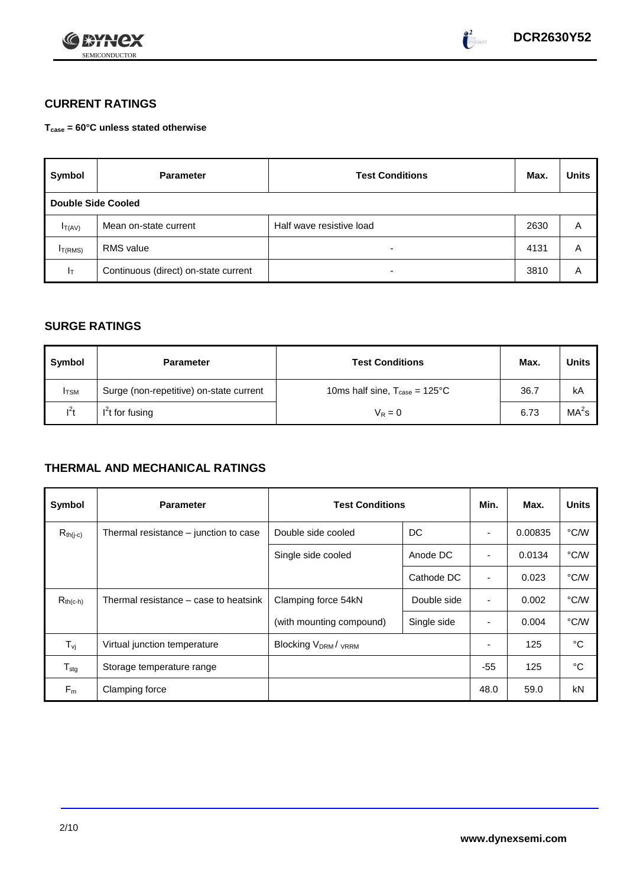



## **CURRENT RATINGS**

**Tcase = 60°C unless stated otherwise**

| Symbol                    | <b>Parameter</b>                     | <b>Test Conditions</b>   | Max. | <b>Units</b> |
|---------------------------|--------------------------------------|--------------------------|------|--------------|
| <b>Double Side Cooled</b> |                                      |                          |      |              |
| $I_{T(AV)}$               | Mean on-state current                | Half wave resistive load | 2630 | Α            |
| I <sub>T(RMS)</sub>       | <b>RMS</b> value                     | -                        | 4131 | Α            |
| $ _{\top}$                | Continuous (direct) on-state current | -                        | 3810 | Α            |

## **SURGE RATINGS**

| Symbol       | <b>Parameter</b>                        | <b>Test Conditions</b>                           | Max. | <b>Units</b>      |
|--------------|-----------------------------------------|--------------------------------------------------|------|-------------------|
| <b>I</b> TSM | Surge (non-repetitive) on-state current | 10ms half sine, $T_{\text{case}} = 125^{\circ}C$ | 36.7 | kA                |
| $l^2t$       | $I2t$ for fusing                        | $V_R = 0$                                        | 6.73 | MA <sup>2</sup> s |

## **THERMAL AND MECHANICAL RATINGS**

| Symbol           | <b>Parameter</b>                      | <b>Test Conditions</b>             |             |                          | Max.    | <b>Units</b> |
|------------------|---------------------------------------|------------------------------------|-------------|--------------------------|---------|--------------|
| $R_{th(j-c)}$    | Thermal resistance – junction to case | Double side cooled<br>DC           |             |                          | 0.00835 | °C/W         |
|                  |                                       | Single side cooled                 | Anode DC    |                          | 0.0134  | °C/W         |
|                  |                                       |                                    | Cathode DC  | $\overline{\phantom{a}}$ | 0.023   | °C/W         |
| $R_{th(c-h)}$    | Thermal resistance – case to heatsink | Clamping force 54kN<br>Double side |             | $\blacksquare$           | 0.002   | °C/W         |
|                  |                                       | (with mounting compound)           | Single side |                          | 0.004   | °C/W         |
| $T_{\rm vj}$     | Virtual junction temperature          | <b>Blocking VDRM/VRRM</b>          |             |                          | 125     | °C           |
| $T_{\text{stg}}$ | Storage temperature range             |                                    |             | $-55$                    | 125     | °C           |
| $F_m$            | Clamping force                        |                                    |             | 48.0                     | 59.0    | kN           |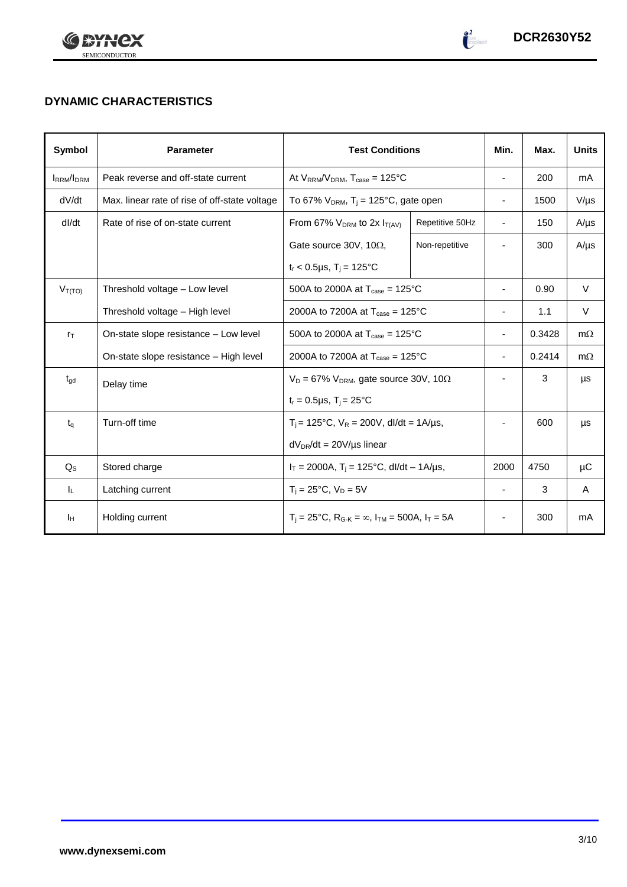



# **DYNAMIC CHARACTERISTICS**

| Symbol            | <b>Parameter</b>                              | <b>Test Conditions</b>                                                  |                                                                                                         |                          | Max.   | <b>Units</b> |
|-------------------|-----------------------------------------------|-------------------------------------------------------------------------|---------------------------------------------------------------------------------------------------------|--------------------------|--------|--------------|
| <b>IRRM</b> /IDRM | Peak reverse and off-state current            | At $V_{RRM}/V_{DRM}$ , $T_{case} = 125^{\circ}C$                        |                                                                                                         | $\overline{\phantom{a}}$ | 200    | mA           |
| dV/dt             | Max. linear rate of rise of off-state voltage | To 67% $V_{DRM}$ , T <sub>i</sub> = 125°C, gate open                    |                                                                                                         | $\overline{\phantom{a}}$ | 1500   | $V/\mu s$    |
| dl/dt             | Rate of rise of on-state current              | From 67% $V_{DRM}$ to 2x $I_{T(AV)}$                                    | Repetitive 50Hz                                                                                         | $\overline{\phantom{a}}$ | 150    | $A/\mu s$    |
|                   |                                               | Gate source 30V, 10 $\Omega$ ,                                          | Non-repetitive                                                                                          |                          | 300    | $A/\mu s$    |
|                   |                                               | $t_r$ < 0.5µs, T <sub>i</sub> = 125°C                                   |                                                                                                         |                          |        |              |
| $V_{T(TO)}$       | Threshold voltage - Low level                 | 500A to 2000A at $T_{\text{case}} = 125^{\circ}$ C                      |                                                                                                         |                          | 0.90   | V            |
|                   | Threshold voltage - High level                |                                                                         | 2000A to 7200A at $T_{\text{case}} = 125^{\circ}$ C                                                     |                          |        | V            |
| $r_{\text{T}}$    | On-state slope resistance - Low level         | 500A to 2000A at $T_{\text{case}} = 125^{\circ}C$                       |                                                                                                         |                          | 0.3428 | $m\Omega$    |
|                   | On-state slope resistance - High level        | 2000A to 7200A at $T_{\text{case}} = 125^{\circ}$ C                     |                                                                                                         | $\overline{\phantom{a}}$ | 0.2414 | $m\Omega$    |
| $t_{\text{gd}}$   | Delay time                                    |                                                                         | $V_D = 67\%$ V <sub>DRM</sub> , gate source 30V, 10 $\Omega$<br>$t_r = 0.5 \mu s$ , $T_i = 25^{\circ}C$ |                          | 3      | μs           |
|                   |                                               |                                                                         |                                                                                                         |                          |        |              |
| $t_q$             | Turn-off time                                 | $T_i$ = 125°C, $V_R$ = 200V, dl/dt = 1A/µs,                             |                                                                                                         |                          | 600    | μs           |
|                   |                                               | $dV_{DR}/dt = 20V/\mu s$ linear                                         |                                                                                                         |                          |        |              |
| $Q_{\rm S}$       | Stored charge                                 | $I_T = 2000A$ , $T_i = 125^{\circ}C$ , dl/dt - 1A/µs,                   | 2000                                                                                                    | 4750                     | μC     |              |
| ΙL.               | Latching current                              | $T_i = 25^{\circ}C$ , $V_D = 5V$                                        |                                                                                                         | $\overline{\phantom{a}}$ | 3      | A            |
| Iн                | Holding current                               | $T_i = 25^{\circ}C$ , $R_{G-K} = \infty$ , $I_{TM} = 500A$ , $I_T = 5A$ |                                                                                                         |                          | 300    | mA           |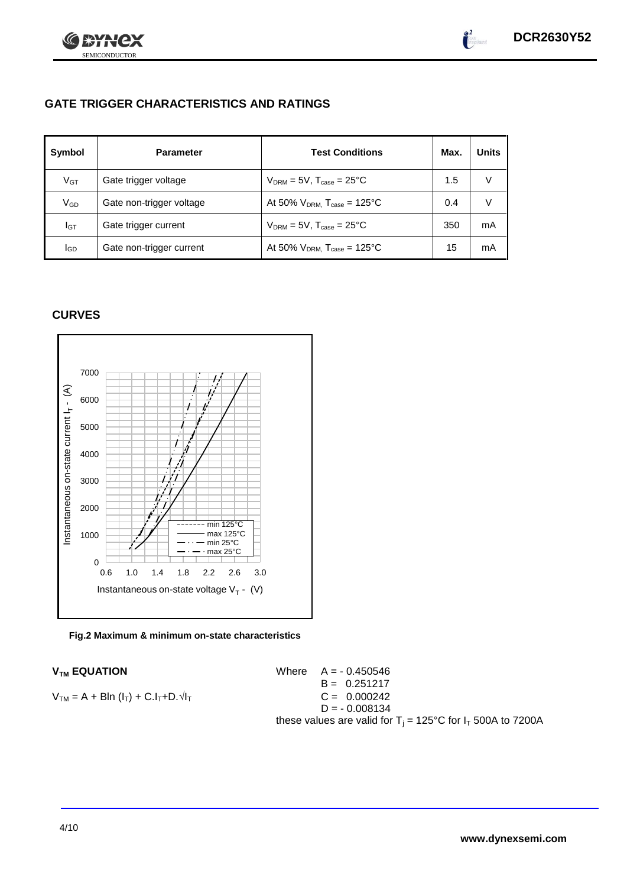

## **GATE TRIGGER CHARACTERISTICS AND RATINGS**

| Symbol          | <b>Parameter</b>         | <b>Test Conditions</b>                       | Max. | <b>Units</b> |
|-----------------|--------------------------|----------------------------------------------|------|--------------|
| V <sub>GT</sub> | Gate trigger voltage     | $V_{DRM} = 5V$ , $T_{case} = 25^{\circ}C$    | 1.5  | v            |
| $\rm V_{GD}$    | Gate non-trigger voltage | At 50% $V_{DRM}$ , $T_{case} = 125^{\circ}C$ | 0.4  | V            |
| Iст             | Gate trigger current     | $V_{DRM} = 5V$ , $T_{case} = 25^{\circ}C$    | 350  | mA           |
| IGD             | Gate non-trigger current | At 50% $V_{DRM}$ , $T_{case} = 125^{\circ}C$ | 15   | mA           |

## **CURVES**

SEMICONDUCTOR

72)

**FOR 18** 





 $V_{TM}$  **EQUATION** Where  $A = -0.450546$  $B = 0.251217$  $V_{TM} = A + Bln (I_T) + C.I_T + D.\sqrt{I_T}$  C = 0.000242  $D = -0.008134$ these values are valid for  $T_i = 125^{\circ}C$  for  $I_T$  500A to 7200A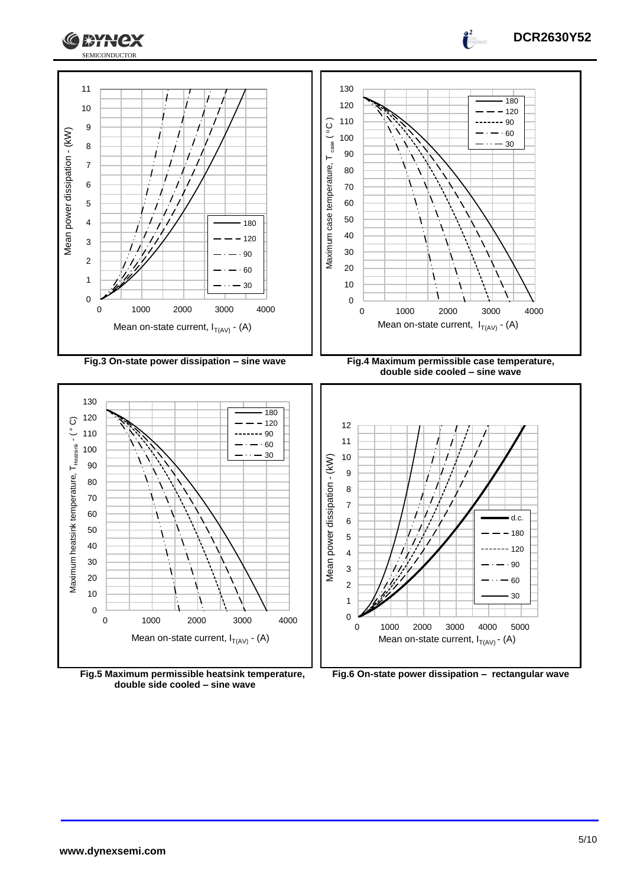





**double side cooled – sine wave**



0 1000 2000 3000 4000 5000

Mean on-state current,  $I_{T(AV)}$  - (A)

d.c.  $-180$  $-120$  $.90$  

 $\frac{1}{2}$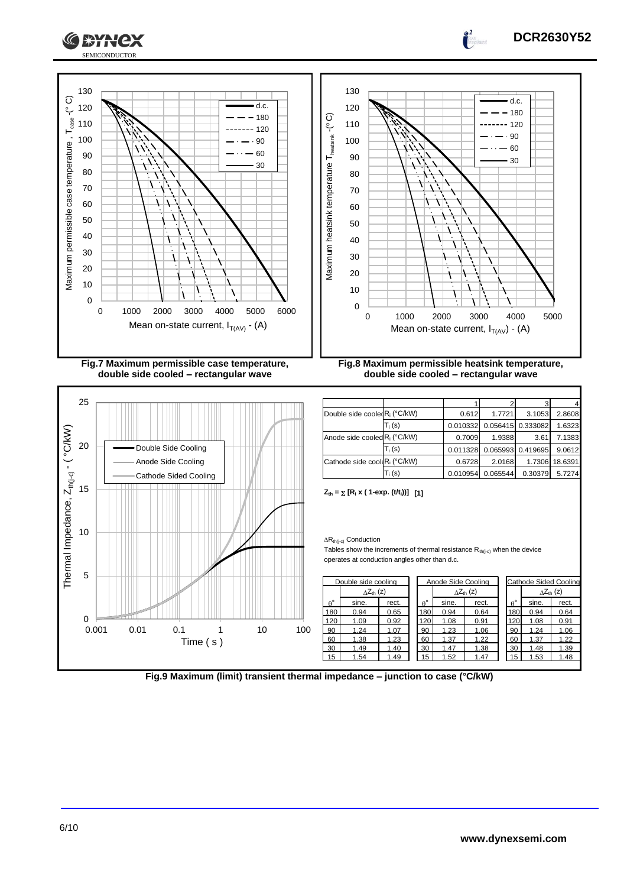



|                  | $\wedge Z_{\text{th}}(z)$ |       |  |                  | $\Delta Z_{\text{th}}$ (z) |       |                  |       | $\wedge Z_{\text{th}}(z)$ |
|------------------|---------------------------|-------|--|------------------|----------------------------|-------|------------------|-------|---------------------------|
| $\theta^{\circ}$ | sine.                     | rect. |  | $\theta^{\circ}$ | sine.                      | rect. | $\theta^{\circ}$ | sine. | rect.                     |
| 180              | 0.94                      | 0.65  |  | 180              | 0.94                       | 0.64  | 180              | 0.94  | 0.64                      |
| 120              | 1.09                      | 0.92  |  | 120              | 1.08                       | 0.91  | 120              | 1.08  | 0.91                      |
| 90               | 1.24                      | 1.07  |  | 90               | 1.23                       | 1.06  | 90               | 1.24  | 1.06                      |
| 60               | 1.38                      | 1.23  |  | 60               | 1.37                       | 1.22  | 60               | 1.37  | 1.22                      |
| 30               | 1.49                      | 1.40  |  | 30               | 1.47                       | 1.38  | 30               | 1.48  | 1.39                      |
| 15               | 1.54                      | 1.49  |  | 15               | 1.52                       | 1.47  | 15               | 1.53  | 1.48                      |
|                  |                           |       |  |                  |                            |       |                  |       |                           |

**Fig.9 Maximum (limit) transient thermal impedance – junction to case (°C/kW)**

**DCR2630Y52**

0

0.001 0.01 0.1 1 10 100

Time ( s )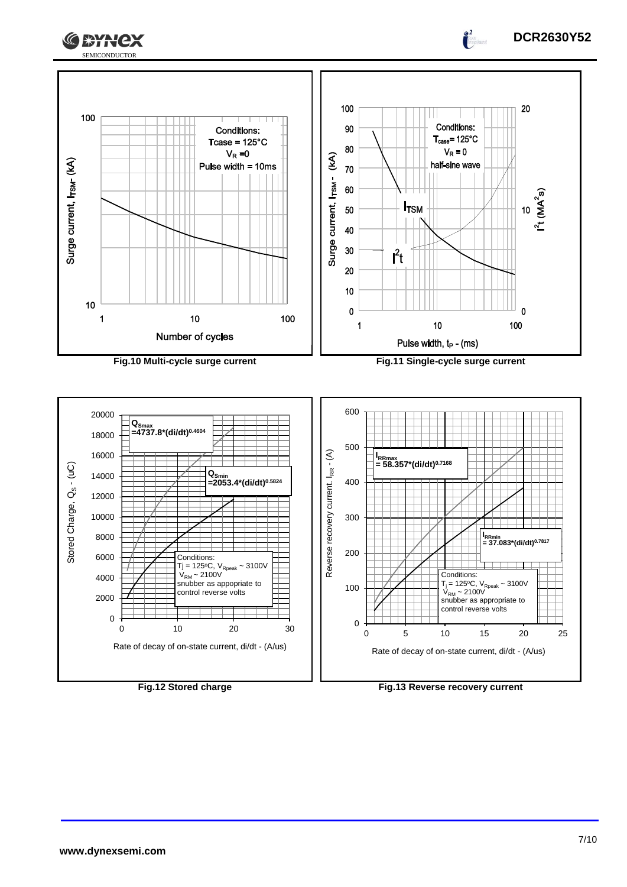





**DCR2630Y52**

 $\frac{1}{2}$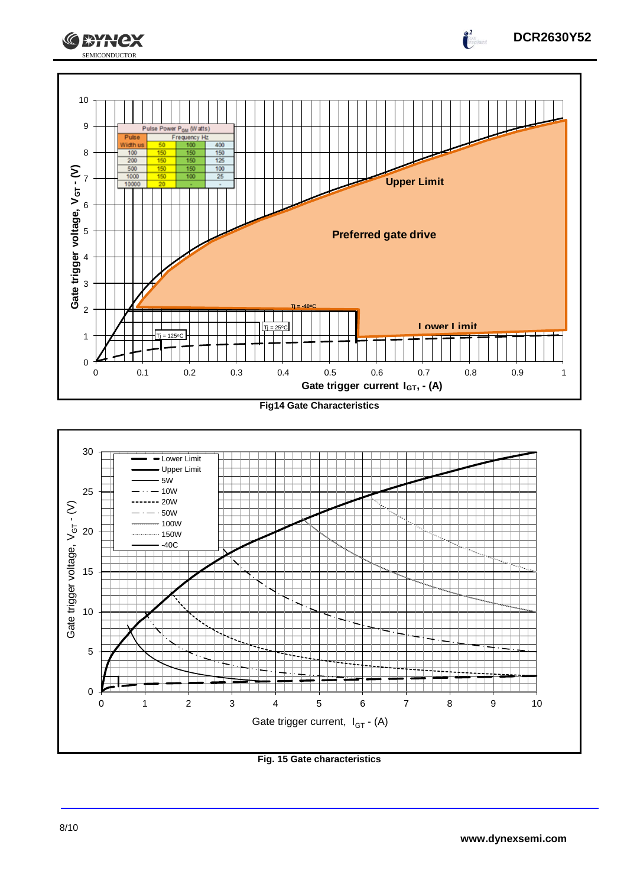



**Fig. 15 Gate characteristics**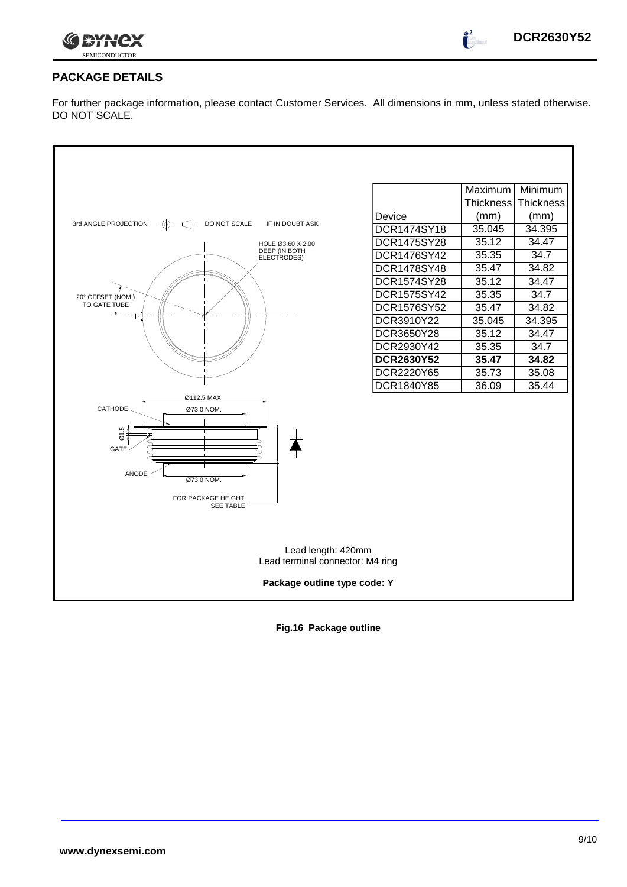

 $\int_0^2$ 

## **PACKAGE DETAILS**

For further package information, please contact Customer Services. All dimensions in mm, unless stated otherwise. DO NOT SCALE.



**Fig.16 Package outline**